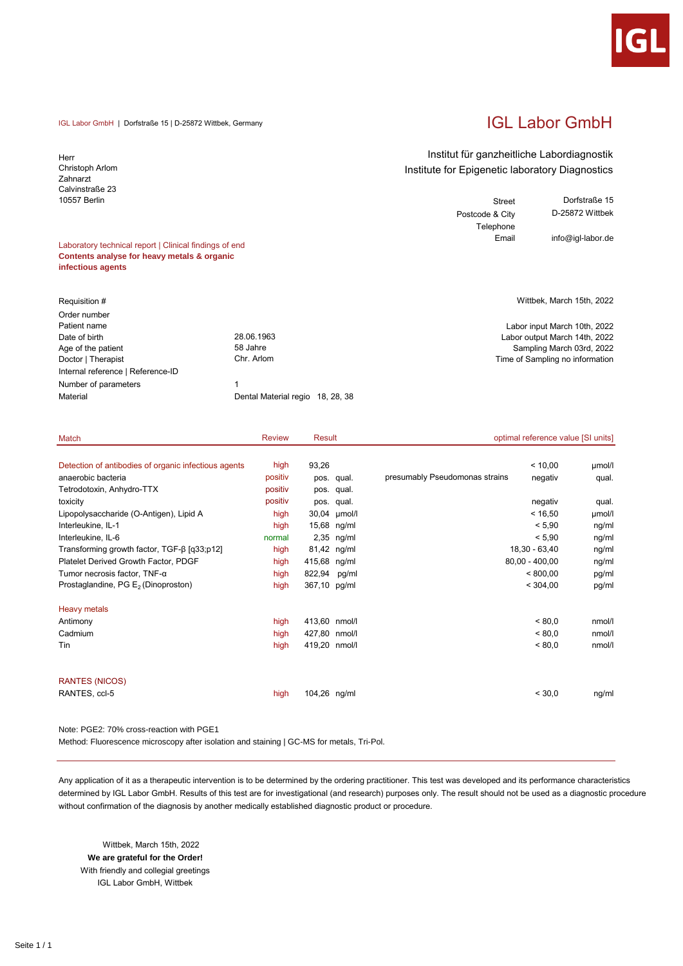

# IGL Labor GmbH

#### IGL Labor GmbH | Dorfstraße 15 | D-25872 Wittbek, Germany

Herr Christoph Arlom Zahnarzt Calvinstraße 23 10557 Berlin

#### Laboratory technical report | Clinical findings of end **Contents analyse for heavy metals & organic infectious agents**

| Order number                      |                                  |  |
|-----------------------------------|----------------------------------|--|
| Patient name                      |                                  |  |
| Date of birth                     | 28.06.1963                       |  |
| Age of the patient                | 58 Jahre                         |  |
| Doctor   Therapist                | Chr. Arlom                       |  |
| Internal reference   Reference-ID |                                  |  |
| Number of parameters              | 1                                |  |
| Material                          | Dental Material regio 18, 28, 38 |  |

### Institut für ganzheitliche Labordiagnostik Institute for Epigenetic laboratory Diagnostics

Street Dorfstraße 15<br>
8. City D-25872 Wittbek Postcode & City Telephone Email info@igl-labor.de

Requisition # Wittbek, March 15th, 2022

Labor input March 10th, 2022 Labor output March 14th, 2022 Sampling March 03rd, 2022 Time of Sampling no information

| Match                                                | <b>Review</b> | Result        |              | optimal reference value [SI units]        |        |
|------------------------------------------------------|---------------|---------------|--------------|-------------------------------------------|--------|
|                                                      |               |               |              |                                           |        |
| Detection of antibodies of organic infectious agents | high          | 93,26         |              | < 10,00                                   | µmol/l |
| anaerobic bacteria                                   | positiv       |               | pos. qual.   | presumably Pseudomonas strains<br>negativ | qual.  |
| Tetrodotoxin, Anhydro-TTX                            | positiv       |               | pos. qual.   |                                           |        |
| toxicity                                             | positiv       |               | pos. qual.   | negativ                                   | qual.  |
| Lipopolysaccharide (O-Antigen), Lipid A              | high          |               | 30,04 µmol/l | < 16,50                                   | µmol/l |
| Interleukine, IL-1                                   | high          |               | 15,68 ng/ml  | < 5,90                                    | ng/ml  |
| Interleukine, IL-6                                   | normal        |               | 2,35 ng/ml   | < 5,90                                    | ng/ml  |
| Transforming growth factor, $TGF-\beta [q33;p12]$    | high          |               | 81,42 ng/ml  | 18,30 - 63,40                             | ng/ml  |
| Platelet Derived Growth Factor, PDGF                 | high          | 415,68 ng/ml  |              | $80,00 - 400,00$                          | ng/ml  |
| Tumor necrosis factor, $TNF-\alpha$                  | high          | 822,94 pg/ml  |              | < 800,00                                  | pg/ml  |
| Prostaglandine, PG E <sub>2</sub> (Dinoproston)      | high          | 367,10 pg/ml  |              | < 304,00                                  | pg/ml  |
| <b>Heavy metals</b>                                  |               |               |              |                                           |        |
| Antimony                                             | high          | 413,60 nmol/l |              | < 80.0                                    | nmol/l |
| Cadmium                                              | high          | 427,80 nmol/l |              | < 80.0                                    | nmol/l |
| Tin                                                  | high          | 419,20 nmol/l |              | < 80.0                                    | nmol/l |
| <b>RANTES (NICOS)</b>                                |               |               |              |                                           |        |
| RANTES, ccl-5                                        | high          | 104,26 ng/ml  |              | < 30,0                                    | ng/ml  |

Note: PGE2: 70% cross-reaction with PGE1

Method: Fluorescence microscopy after isolation and staining | GC-MS for metals, Tri-Pol.

Any application of it as a therapeutic intervention is to be determined by the ordering practitioner. This test was developed and its performance characteristics determined by IGL Labor GmbH. Results of this test are for investigational (and research) purposes only. The result should not be used as a diagnostic procedure without confirmation of the diagnosis by another medically established diagnostic product or procedure.

 Wittbek, March 15th, 2022 **We are grateful for the Order!** With friendly and collegial greetings IGL Labor GmbH, Wittbek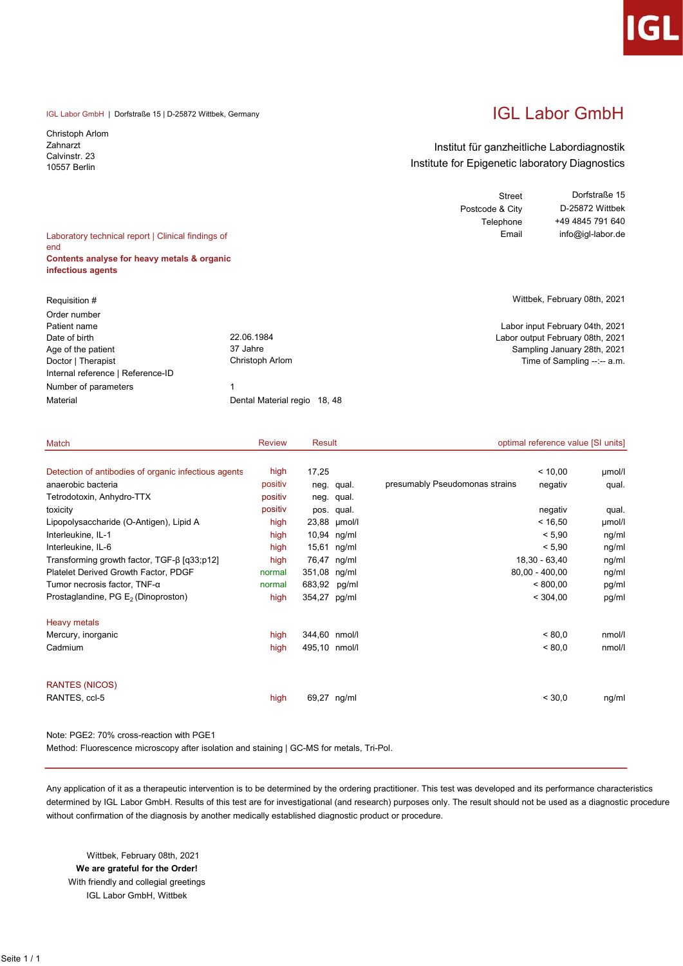IGL Labor GmbH | Dorfstraße 15 | D-25872 Wittbek, Germany

Christoph Arlom Zahnarzt Calvinstr. 23 10557 Berlin

# IGL Labor GmbH

### Institut für ganzheitliche Labordiagnostik Institute for Epigenetic laboratory Diagnostics

| Laboratory technical report   Clinical findings of |                 | <b>Street</b><br>Postcode & City<br>Telephone<br>Email | Dorfstraße 15<br>D-25872 Wittbek<br>+49 4845 791 640<br>info@igl-labor.de |
|----------------------------------------------------|-----------------|--------------------------------------------------------|---------------------------------------------------------------------------|
| end                                                |                 |                                                        |                                                                           |
| Contents analyse for heavy metals & organic        |                 |                                                        |                                                                           |
| infectious agents                                  |                 |                                                        |                                                                           |
|                                                    |                 |                                                        |                                                                           |
| Requisition #                                      |                 |                                                        | Wittbek, February 08th, 2021                                              |
| Order number                                       |                 |                                                        |                                                                           |
| Patient name                                       |                 |                                                        | Labor input February 04th, 2021                                           |
| Date of birth                                      | 22.06.1984      |                                                        | Labor output February 08th, 2021                                          |
| Age of the patient                                 | 37 Jahre        |                                                        | Sampling January 28th, 2021                                               |
| Doctor   Therapist                                 | Christoph Arlom |                                                        | Time of Sampling --:-- a.m.                                               |
| Internal reference   Reference-ID                  |                 |                                                        |                                                                           |
| Number of parameters                               |                 |                                                        |                                                                           |

| Match                                                | <b>Review</b> | Result        |              | optimal reference value [SI units]        |        |  |
|------------------------------------------------------|---------------|---------------|--------------|-------------------------------------------|--------|--|
| Detection of antibodies of organic infectious agents | high          | 17,25         |              | < 10,00                                   | µmol/l |  |
| anaerobic bacteria                                   | positiv       |               | neg. qual.   | presumably Pseudomonas strains<br>negativ | qual.  |  |
| Tetrodotoxin, Anhydro-TTX                            | positiv       |               | neg. qual.   |                                           |        |  |
| toxicity                                             | positiv       |               | pos. qual.   | negativ                                   | qual.  |  |
| Lipopolysaccharide (O-Antigen), Lipid A              | high          |               | 23,88 µmol/l | < 16,50                                   | µmol/l |  |
| Interleukine, IL-1                                   | high          |               | 10,94 ng/ml  | < 5,90                                    | ng/ml  |  |
| Interleukine, IL-6                                   | high          |               | 15,61 ng/ml  | < 5,90                                    | ng/ml  |  |
| Transforming growth factor, $TGF-β$ [q33;p12]        | high          |               | 76,47 ng/ml  | 18,30 - 63,40                             | ng/ml  |  |
| Platelet Derived Growth Factor, PDGF                 | normal        | 351,08 ng/ml  |              | $80,00 - 400,00$                          | ng/ml  |  |
| Tumor necrosis factor, $TNF-\alpha$                  | normal        | 683,92 pg/ml  |              | < 800,00                                  | pg/ml  |  |
| Prostaglandine, PG E <sub>2</sub> (Dinoproston)      | high          | 354,27 pg/ml  |              | < 304,00                                  | pg/ml  |  |
| <b>Heavy metals</b>                                  |               |               |              |                                           |        |  |
| Mercury, inorganic                                   | high          | 344,60 nmol/l |              | < 80.0                                    | nmol/l |  |
| Cadmium                                              | high          | 495,10 nmol/l |              | < 80.0                                    | nmol/l |  |
| <b>RANTES (NICOS)</b>                                |               |               |              |                                           |        |  |
| RANTES, ccl-5                                        | high          |               | 69,27 ng/ml  | < 30,0                                    | ng/ml  |  |

Note: PGE2: 70% cross-reaction with PGE1

Method: Fluorescence microscopy after isolation and staining | GC-MS for metals, Tri-Pol.

Material Material Material regio 18, 48

Any application of it as a therapeutic intervention is to be determined by the ordering practitioner. This test was developed and its performance characteristics determined by IGL Labor GmbH. Results of this test are for investigational (and research) purposes only. The result should not be used as a diagnostic procedure without confirmation of the diagnosis by another medically established diagnostic product or procedure.

 Wittbek, February 08th, 2021 We are grateful for the Order! With friendly and collegial greetings IGL Labor GmbH, Wittbek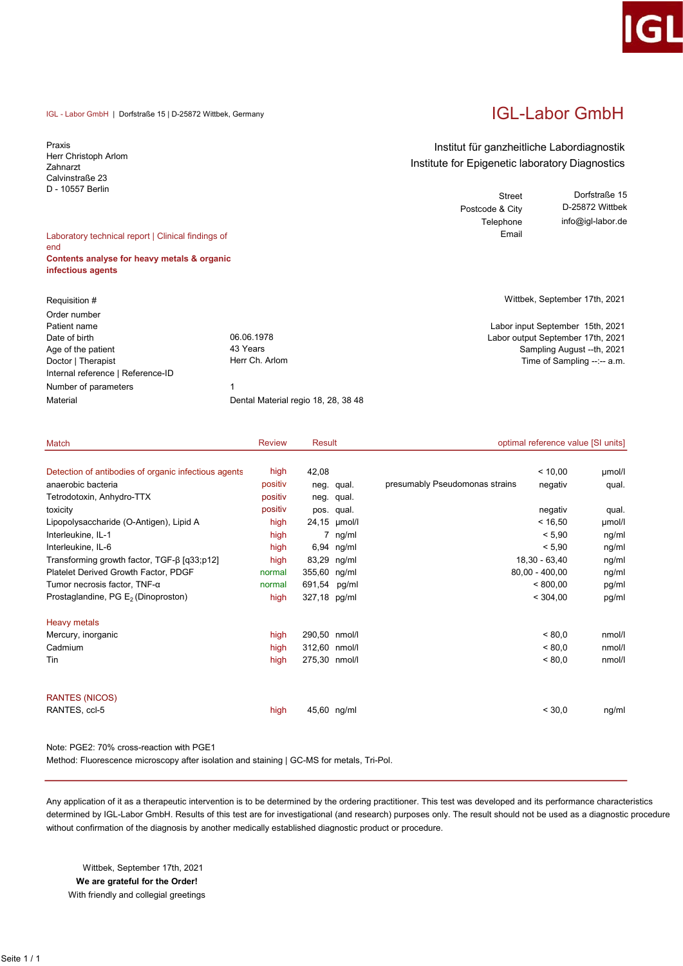#### IGL - Labor GmbH | Dorfstraße 15 | D-25872 Wittbek, Germany

Praxis Herr Christoph Arlom Zahnarzt Calvinstraße 23 D - 10557 Berlin

### Laboratory technical report | Clinical findings of end Contents analyse for heavy metals & organic infectious agents

| Requisition #                     |                                     |
|-----------------------------------|-------------------------------------|
| Order number                      |                                     |
| Patient name                      |                                     |
| Date of birth                     | 06.06.1978                          |
| Age of the patient                | 43 Years                            |
| Doctor   Therapist                | Herr Ch. Arlom                      |
| Internal reference   Reference-ID |                                     |
| Number of parameters              | 1                                   |
| Material                          | Dental Material regio 18, 28, 38 48 |

# IGL-Labor GmbH

### Institut für ganzheitliche Labordiagnostik Institute for Epigenetic laboratory Diagnostics

Street Postcode & City Telephone Email Dorfstraße 15 D-25872 Wittbek info@igl-labor.de

Wittbek, September 17th, 2021

Labor input September 15th, 2021 Labor output September 17th, 2021 Sampling August --th, 2021 Time of Sampling  $-:-$  a.m.

| Match                                                | <b>Review</b> | Result        |              | optimal reference value [SI units]        |        |
|------------------------------------------------------|---------------|---------------|--------------|-------------------------------------------|--------|
|                                                      |               |               |              |                                           |        |
| Detection of antibodies of organic infectious agents | high          | 42,08         |              | < 10,00                                   | umol/l |
| anaerobic bacteria                                   | positiv       |               | neg. qual.   | presumably Pseudomonas strains<br>negativ | qual.  |
| Tetrodotoxin, Anhydro-TTX                            | positiv       |               | neg. qual.   |                                           |        |
| toxicity                                             | positiv       |               | pos. qual.   | negativ                                   | qual.  |
| Lipopolysaccharide (O-Antigen), Lipid A              | high          |               | 24,15 µmol/l | < 16,50                                   | µmol/l |
| Interleukine, IL-1                                   | high          |               | 7 ng/ml      | < 5,90                                    | ng/ml  |
| Interleukine, IL-6                                   | high          |               | 6,94 ng/ml   | < 5,90                                    | ng/ml  |
| Transforming growth factor, $TGF-β$ [q33;p12]        | high          |               | 83,29 ng/ml  | 18,30 - 63,40                             | ng/ml  |
| Platelet Derived Growth Factor, PDGF                 | normal        | 355,60 ng/ml  |              | $80,00 - 400,00$                          | ng/ml  |
| Tumor necrosis factor, $TNF-\alpha$                  | normal        | 691,54        | pg/ml        | < 800,00                                  | pg/ml  |
| Prostaglandine, PG E <sub>2</sub> (Dinoproston)      | high          | 327,18 pg/ml  |              | < 304,00                                  | pg/ml  |
| <b>Heavy metals</b>                                  |               |               |              |                                           |        |
| Mercury, inorganic                                   | high          | 290,50 nmol/l |              | < 80.0                                    | nmol/l |
| Cadmium                                              | high          | 312,60 nmol/l |              | < 80.0                                    | nmol/l |
| Tin                                                  | high          | 275,30 nmol/l |              | < 80.0                                    | nmol/l |
| <b>RANTES (NICOS)</b>                                |               |               |              |                                           |        |
| RANTES, ccl-5                                        |               |               |              | < 30.0                                    |        |
|                                                      | high          |               | 45,60 ng/ml  |                                           | ng/ml  |

### Note: PGE2: 70% cross-reaction with PGE1

Method: Fluorescence microscopy after isolation and staining | GC-MS for metals, Tri-Pol.

Any application of it as a therapeutic intervention is to be determined by the ordering practitioner. This test was developed and its performance characteristics determined by IGL-Labor GmbH. Results of this test are for investigational (and research) purposes only. The result should not be used as a diagnostic procedure without confirmation of the diagnosis by another medically established diagnostic product or procedure.

 Wittbek, September 17th, 2021 We are grateful for the Order! With friendly and collegial greetings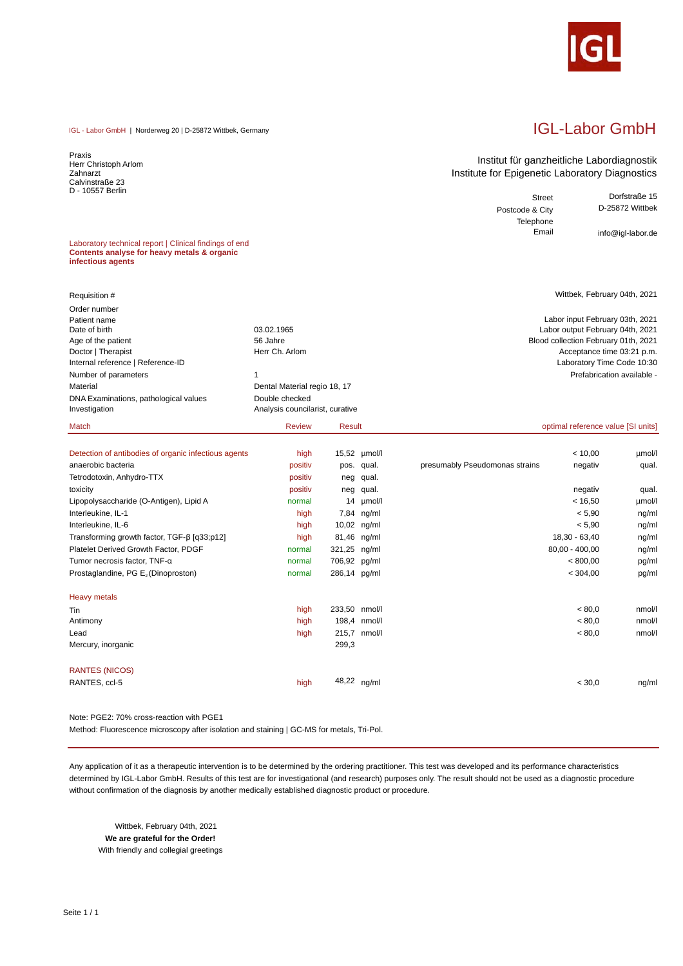

# IGL-Labor GmbH

Street Dorfstraße 15

info@igl-labor.de

Institut für ganzheitliche Labordiagnostik Institute for Epigenetic Laboratory Diagnostics

> Postcode & City Telephone<br>Email

IGL - Labor GmbH | Norderweg 20 | D-25872 Wittbek, Germany

Praxis Herr Christoph Arlom Zahnarzt Calvinstraße 23 D - 10557 Berlin

Laboratory technical report | Clinical findings of end **Contents analyse for heavy metals & organic infectious agents**

| Requisition #                                          |                                                   |               | Wittbek, February 04th, 2021         |
|--------------------------------------------------------|---------------------------------------------------|---------------|--------------------------------------|
| Order number                                           |                                                   |               |                                      |
| Patient name                                           |                                                   |               | Labor input February 03th, 2021      |
| Date of birth                                          | 03.02.1965                                        |               | Labor output February 04th, 2021     |
| Age of the patient                                     | 56 Jahre                                          |               | Blood collection February 01th, 2021 |
| Doctor   Therapist                                     | Herr Ch. Arlom                                    |               | Acceptance time 03:21 p.m.           |
| Internal reference   Reference-ID                      |                                                   |               | Laboratory Time Code 10:30           |
| Number of parameters                                   |                                                   |               | Prefabrication available -           |
| Material                                               | Dental Material regio 18, 17                      |               |                                      |
| DNA Examinations, pathological values<br>Investigation | Double checked<br>Analysis councilarist, curative |               |                                      |
|                                                        |                                                   |               |                                      |
| Match                                                  | <b>Review</b>                                     | <b>Result</b> | optimal reference value [SI units]   |

| Detection of antibodies of organic infectious agents | high    |               | 15,52 µmol/l |                                | < 10,00          | umol/l |
|------------------------------------------------------|---------|---------------|--------------|--------------------------------|------------------|--------|
| anaerobic bacteria                                   | positiv |               | pos. qual.   | presumably Pseudomonas strains | negativ          | qual.  |
| Tetrodotoxin, Anhydro-TTX                            | positiv | neg           | qual.        |                                |                  |        |
| toxicity                                             | positiv | neg           | qual.        |                                | negativ          | qual.  |
| Lipopolysaccharide (O-Antigen), Lipid A              | normal  | 14            | µmol/l       |                                | < 16,50          | µmol/l |
| Interleukine, IL-1                                   | high    |               | 7,84 ng/ml   |                                | < 5.90           | ng/ml  |
| Interleukine, IL-6                                   | high    |               | 10,02 ng/ml  |                                | < 5.90           | ng/ml  |
| Transforming growth factor, $TGF-\beta [q33;p12]$    | high    | 81,46 ng/ml   |              |                                | 18,30 - 63,40    | ng/ml  |
| Platelet Derived Growth Factor, PDGF                 | normal  | 321,25 ng/ml  |              |                                | $80,00 - 400,00$ | ng/ml  |
| Tumor necrosis factor, TNF-a                         | normal  | 706,92 pg/ml  |              |                                | < 800,00         | pg/ml  |
| Prostaglandine, PG E <sub>2</sub> (Dinoproston)      | normal  | 286,14 pg/ml  |              |                                | < 304,00         | pg/ml  |
| <b>Heavy metals</b>                                  |         |               |              |                                |                  |        |
| Tin                                                  | high    | 233,50 nmol/l |              |                                | < 80.0           | nmol/l |
| Antimony                                             | high    |               | 198,4 nmol/l |                                | < 80.0           | nmol/l |
| Lead                                                 | high    |               | 215,7 nmol/l |                                | < 80.0           | nmol/l |
| Mercury, inorganic                                   |         | 299,3         |              |                                |                  |        |
| <b>RANTES (NICOS)</b>                                |         |               |              |                                |                  |        |
| RANTES, ccl-5                                        | high    |               | 48,22 ng/ml  |                                | < 30.0           | ng/ml  |

Note: PGE2: 70% cross-reaction with PGE1

Method: Fluorescence microscopy after isolation and staining | GC-MS for metals, Tri-Pol.

Any application of it as a therapeutic intervention is to be determined by the ordering practitioner. This test was developed and its performance characteristics determined by IGL-Labor GmbH. Results of this test are for investigational (and research) purposes only. The result should not be used as a diagnostic procedure without confirmation of the diagnosis by another medically established diagnostic product or procedure.

 Wittbek, February 04th, 2021 **We are grateful for the Order!** With friendly and collegial greetings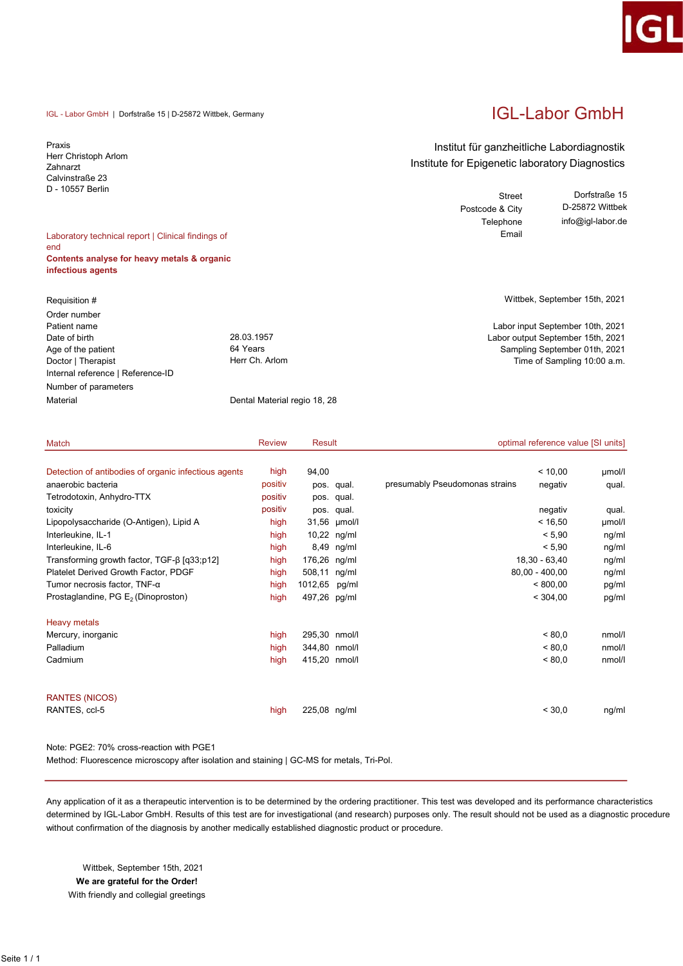#### IGL - Labor GmbH | Dorfstraße 15 | D-25872 Wittbek, Germany

Praxis Herr Christoph Arlom Zahnarzt Calvinstraße 23 D - 10557 Berlin

### Laboratory technical report | Clinical findings of end Contents analyse for heavy metals & organic infectious agents

| Requisition #                     |                              |
|-----------------------------------|------------------------------|
| Order number                      |                              |
| Patient name                      |                              |
| Date of birth                     | 28.03.1957                   |
| Age of the patient                | 64 Years                     |
| Doctor   Therapist                | Herr Ch. Arlom               |
| Internal reference   Reference-ID |                              |
| Number of parameters              |                              |
| Material                          | Dental Material regio 18, 28 |

# IGL-Labor GmbH

### Institut für ganzheitliche Labordiagnostik Institute for Epigenetic laboratory Diagnostics

Street Postcode & City Telephone Email Dorfstraße 15 D-25872 Wittbek info@igl-labor.de

Wittbek, September 15th, 2021

Labor input September 10th, 2021 Labor output September 15th, 2021 Sampling September 01th, 2021 Time of Sampling 10:00 a.m.

| Match                                                | <b>Review</b> | Result        |              | optimal reference value [SI units]        |        |
|------------------------------------------------------|---------------|---------------|--------------|-------------------------------------------|--------|
|                                                      |               |               |              |                                           |        |
| Detection of antibodies of organic infectious agents | high          | 94,00         |              | < 10,00                                   | µmol/l |
| anaerobic bacteria                                   | positiv       |               | pos. qual.   | presumably Pseudomonas strains<br>negativ | qual.  |
| Tetrodotoxin, Anhydro-TTX                            | positiv       |               | pos. qual.   |                                           |        |
| toxicity                                             | positiv       |               | pos. qual.   | negativ                                   | qual.  |
| Lipopolysaccharide (O-Antigen), Lipid A              | high          |               | 31,56 µmol/l | < 16,50                                   | µmol/l |
| Interleukine, IL-1                                   | high          |               | 10,22 ng/ml  | < 5,90                                    | ng/ml  |
| Interleukine, IL-6                                   | high          |               | 8,49 ng/ml   | < 5,90                                    | ng/ml  |
| Transforming growth factor, TGF-β [q33;p12]          | high          | 176,26 ng/ml  |              | 18,30 - 63,40                             | ng/ml  |
| Platelet Derived Growth Factor, PDGF                 | high          | 508,11 ng/ml  |              | $80,00 - 400,00$                          | ng/ml  |
| Tumor necrosis factor, $TNF-\alpha$                  | high          | 1012,65       | pg/ml        | < 800,00                                  | pg/ml  |
| Prostaglandine, PG E <sub>2</sub> (Dinoproston)      | high          | 497,26 pg/ml  |              | < 304,00                                  | pg/ml  |
| <b>Heavy metals</b>                                  |               |               |              |                                           |        |
| Mercury, inorganic                                   | high          | 295,30 nmol/l |              | < 80.0                                    | nmol/l |
| Palladium                                            | high          | 344,80 nmol/l |              | < 80.0                                    | nmol/l |
| Cadmium                                              | high          | 415,20 nmol/l |              | < 80.0                                    | nmol/l |
| <b>RANTES (NICOS)</b>                                |               |               |              |                                           |        |
| RANTES, ccl-5                                        | high          | 225,08 ng/ml  |              | < 30.0                                    | ng/ml  |

### Note: PGE2: 70% cross-reaction with PGE1

Method: Fluorescence microscopy after isolation and staining | GC-MS for metals, Tri-Pol.

Any application of it as a therapeutic intervention is to be determined by the ordering practitioner. This test was developed and its performance characteristics determined by IGL-Labor GmbH. Results of this test are for investigational (and research) purposes only. The result should not be used as a diagnostic procedure without confirmation of the diagnosis by another medically established diagnostic product or procedure.

 Wittbek, September 15th, 2021 We are grateful for the Order! With friendly and collegial greetings